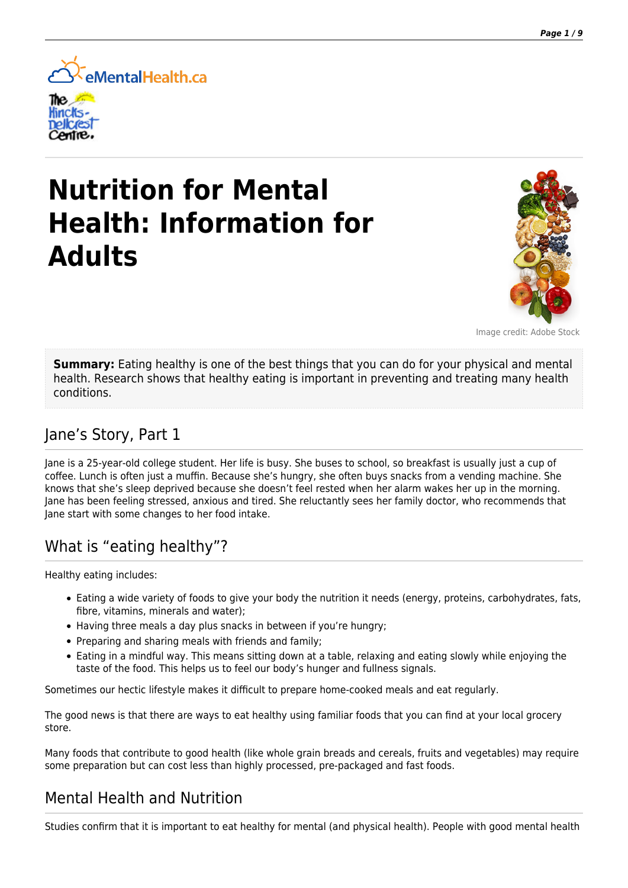

# **Nutrition for Mental Health: Information for Adults**



Image credit: Adobe Stock

**Summary:** Eating healthy is one of the best things that you can do for your physical and mental health. Research shows that healthy eating is important in preventing and treating many health conditions.

### Jane's Story, Part 1

Jane is a 25-year-old college student. Her life is busy. She buses to school, so breakfast is usually just a cup of coffee. Lunch is often just a muffin. Because she's hungry, she often buys snacks from a vending machine. She knows that she's sleep deprived because she doesn't feel rested when her alarm wakes her up in the morning. Jane has been feeling stressed, anxious and tired. She reluctantly sees her family doctor, who recommends that Jane start with some changes to her food intake.

# What is "eating healthy"?

Healthy eating includes:

- Eating a wide variety of foods to give your body the nutrition it needs (energy, proteins, carbohydrates, fats, fibre, vitamins, minerals and water);
- Having three meals a day plus snacks in between if you're hungry;
- Preparing and sharing meals with friends and family:
- Eating in a mindful way. This means sitting down at a table, relaxing and eating slowly while enjoying the taste of the food. This helps us to feel our body's hunger and fullness signals.

Sometimes our hectic lifestyle makes it difficult to prepare home-cooked meals and eat regularly.

The good news is that there are ways to eat healthy using familiar foods that you can find at your local grocery store.

Many foods that contribute to good health (like whole grain breads and cereals, fruits and vegetables) may require some preparation but can cost less than highly processed, pre-packaged and fast foods.

### Mental Health and Nutrition

Studies confirm that it is important to eat healthy for mental (and physical health). People with good mental health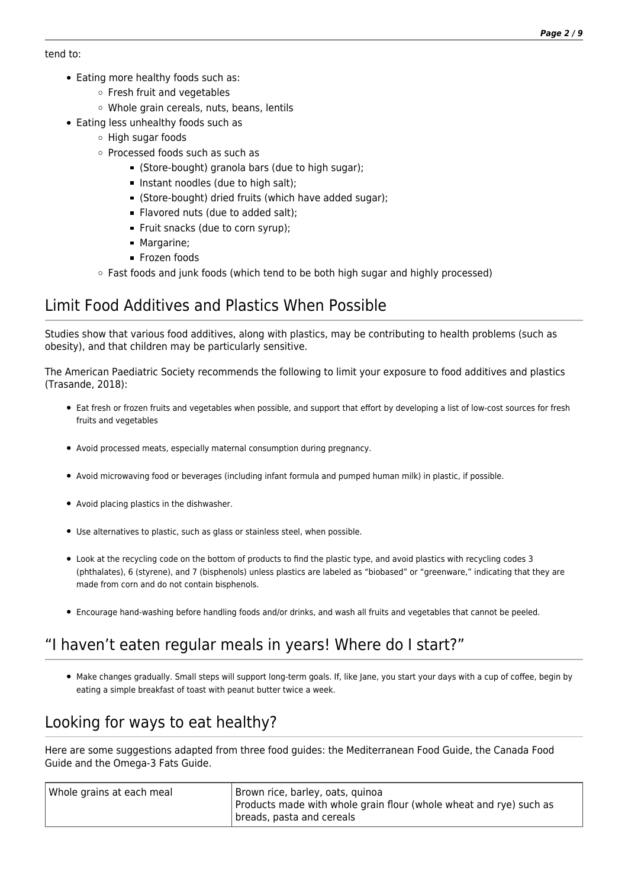#### tend to:

- Eating more healthy foods such as:
	- Fresh fruit and vegetables
	- Whole grain cereals, nuts, beans, lentils
- Eating less unhealthy foods such as
	- $\circ$  High sugar foods
	- o Processed foods such as such as
		- (Store-bought) granola bars (due to high sugar);
		- Instant noodles (due to high salt);
		- (Store-bought) dried fruits (which have added sugar);
		- Flavored nuts (due to added salt);
		- Fruit snacks (due to corn syrup);
		- Margarine;
		- **Frozen foods**
	- $\circ$  Fast foods and junk foods (which tend to be both high sugar and highly processed)

# Limit Food Additives and Plastics When Possible

Studies show that various food additives, along with plastics, may be contributing to health problems (such as obesity), and that children may be particularly sensitive.

The American Paediatric Society recommends the following to limit your exposure to food additives and plastics (Trasande, 2018):

- Eat fresh or frozen fruits and vegetables when possible, and support that effort by developing a list of low-cost sources for fresh fruits and vegetables
- Avoid processed meats, especially maternal consumption during pregnancy.
- Avoid microwaving food or beverages (including infant formula and pumped human milk) in plastic, if possible.
- Avoid placing plastics in the dishwasher.
- Use alternatives to plastic, such as glass or stainless steel, when possible.
- Look at the recycling code on the bottom of products to find the plastic type, and avoid plastics with recycling codes 3 (phthalates), 6 (styrene), and 7 (bisphenols) unless plastics are labeled as "biobased" or "greenware," indicating that they are made from corn and do not contain bisphenols.
- Encourage hand-washing before handling foods and/or drinks, and wash all fruits and vegetables that cannot be peeled.

# "I haven't eaten regular meals in years! Where do I start?"

Make changes gradually. Small steps will support long-term goals. If, like Jane, you start your days with a cup of coffee, begin by eating a simple breakfast of toast with peanut butter twice a week.

# Looking for ways to eat healthy?

Here are some suggestions adapted from three food guides: the Mediterranean Food Guide, the Canada Food Guide and the Omega-3 Fats Guide.

| Whole grains at each meal | Brown rice, barley, oats, quinoa<br>Products made with whole grain flour (whole wheat and rye) such as<br>  breads, pasta and cereals |
|---------------------------|---------------------------------------------------------------------------------------------------------------------------------------|
|---------------------------|---------------------------------------------------------------------------------------------------------------------------------------|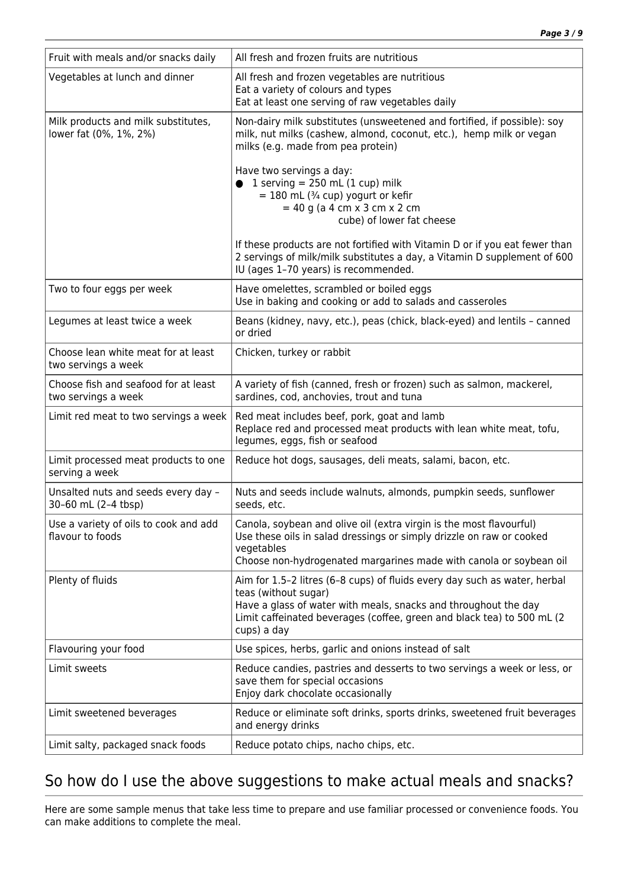| Fruit with meals and/or snacks daily                          | All fresh and frozen fruits are nutritious                                                                                                                                                                                                                    |
|---------------------------------------------------------------|---------------------------------------------------------------------------------------------------------------------------------------------------------------------------------------------------------------------------------------------------------------|
| Vegetables at lunch and dinner                                | All fresh and frozen vegetables are nutritious<br>Eat a variety of colours and types<br>Eat at least one serving of raw vegetables daily                                                                                                                      |
| Milk products and milk substitutes,<br>lower fat (0%, 1%, 2%) | Non-dairy milk substitutes (unsweetened and fortified, if possible): soy<br>milk, nut milks (cashew, almond, coconut, etc.), hemp milk or vegan<br>milks (e.g. made from pea protein)                                                                         |
|                                                               | Have two servings a day:<br>1 serving = $250$ mL (1 cup) milk<br>$= 180$ mL ( $\frac{3}{4}$ cup) yogurt or kefir<br>$= 40$ g (a 4 cm x 3 cm x 2 cm<br>cube) of lower fat cheese                                                                               |
|                                                               | If these products are not fortified with Vitamin D or if you eat fewer than<br>2 servings of milk/milk substitutes a day, a Vitamin D supplement of 600<br>IU (ages 1-70 years) is recommended.                                                               |
| Two to four eggs per week                                     | Have omelettes, scrambled or boiled eggs<br>Use in baking and cooking or add to salads and casseroles                                                                                                                                                         |
| Legumes at least twice a week                                 | Beans (kidney, navy, etc.), peas (chick, black-eyed) and lentils - canned<br>or dried                                                                                                                                                                         |
| Choose lean white meat for at least<br>two servings a week    | Chicken, turkey or rabbit                                                                                                                                                                                                                                     |
| Choose fish and seafood for at least<br>two servings a week   | A variety of fish (canned, fresh or frozen) such as salmon, mackerel,<br>sardines, cod, anchovies, trout and tuna                                                                                                                                             |
| Limit red meat to two servings a week                         | Red meat includes beef, pork, goat and lamb<br>Replace red and processed meat products with lean white meat, tofu,<br>legumes, eggs, fish or seafood                                                                                                          |
| Limit processed meat products to one<br>serving a week        | Reduce hot dogs, sausages, deli meats, salami, bacon, etc.                                                                                                                                                                                                    |
| Unsalted nuts and seeds every day -<br>30-60 mL (2-4 tbsp)    | Nuts and seeds include walnuts, almonds, pumpkin seeds, sunflower<br>seeds, etc.                                                                                                                                                                              |
| Use a variety of oils to cook and add<br>flavour to foods     | Canola, soybean and olive oil (extra virgin is the most flavourful)<br>Use these oils in salad dressings or simply drizzle on raw or cooked<br>vegetables<br>Choose non-hydrogenated margarines made with canola or soybean oil                               |
| Plenty of fluids                                              | Aim for 1.5-2 litres (6-8 cups) of fluids every day such as water, herbal<br>teas (without sugar)<br>Have a glass of water with meals, snacks and throughout the day<br>Limit caffeinated beverages (coffee, green and black tea) to 500 mL (2<br>cups) a day |
| Flavouring your food                                          | Use spices, herbs, garlic and onions instead of salt                                                                                                                                                                                                          |
| Limit sweets                                                  | Reduce candies, pastries and desserts to two servings a week or less, or<br>save them for special occasions<br>Enjoy dark chocolate occasionally                                                                                                              |
| Limit sweetened beverages                                     | Reduce or eliminate soft drinks, sports drinks, sweetened fruit beverages<br>and energy drinks                                                                                                                                                                |
| Limit salty, packaged snack foods                             | Reduce potato chips, nacho chips, etc.                                                                                                                                                                                                                        |

# So how do I use the above suggestions to make actual meals and snacks?

Here are some sample menus that take less time to prepare and use familiar processed or convenience foods. You can make additions to complete the meal.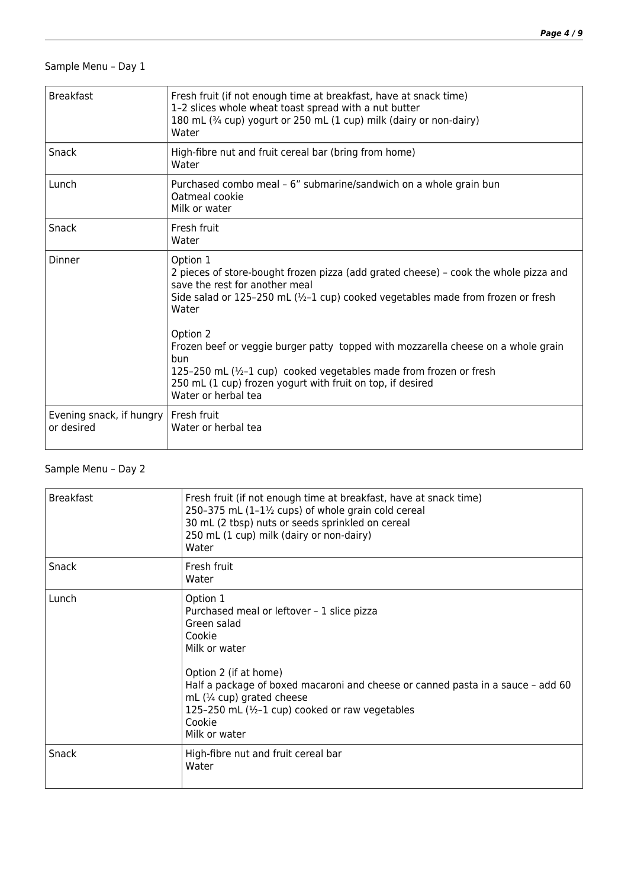#### Sample Menu – Day 1

| <b>Breakfast</b>                                     | Fresh fruit (if not enough time at breakfast, have at snack time)<br>1-2 slices whole wheat toast spread with a nut butter<br>180 mL (3/4 cup) yogurt or 250 mL (1 cup) milk (dairy or non-dairy)<br>Water                                                      |
|------------------------------------------------------|-----------------------------------------------------------------------------------------------------------------------------------------------------------------------------------------------------------------------------------------------------------------|
| <b>Snack</b>                                         | High-fibre nut and fruit cereal bar (bring from home)<br>Water                                                                                                                                                                                                  |
| Lunch                                                | Purchased combo meal - 6" submarine/sandwich on a whole grain bun<br>Oatmeal cookie<br>Milk or water                                                                                                                                                            |
| Snack                                                | Fresh fruit<br>Water                                                                                                                                                                                                                                            |
| Dinner                                               | Option 1<br>2 pieces of store-bought frozen pizza (add grated cheese) - cook the whole pizza and<br>save the rest for another meal<br>Side salad or 125-250 mL (1/2-1 cup) cooked vegetables made from frozen or fresh<br>Water                                 |
|                                                      | Option 2<br>Frozen beef or veggie burger patty topped with mozzarella cheese on a whole grain<br>bun<br>125-250 mL (1/2-1 cup) cooked vegetables made from frozen or fresh<br>250 mL (1 cup) frozen yogurt with fruit on top, if desired<br>Water or herbal tea |
| Evening snack, if hungry   Fresh fruit<br>or desired | Water or herbal tea                                                                                                                                                                                                                                             |

#### Sample Menu – Day 2

| <b>Breakfast</b> | Fresh fruit (if not enough time at breakfast, have at snack time)<br>250-375 mL $(1-1\frac{1}{2}$ cups) of whole grain cold cereal<br>30 mL (2 tbsp) nuts or seeds sprinkled on cereal<br>250 mL (1 cup) milk (dairy or non-dairy)<br>Water                                                                                        |
|------------------|------------------------------------------------------------------------------------------------------------------------------------------------------------------------------------------------------------------------------------------------------------------------------------------------------------------------------------|
| Snack            | Fresh fruit<br>Water                                                                                                                                                                                                                                                                                                               |
| Lunch            | Option 1<br>Purchased meal or leftover - 1 slice pizza<br>Green salad<br>Cookie<br>Milk or water<br>Option 2 (if at home)<br>Half a package of boxed macaroni and cheese or canned pasta in a sauce - add 60<br>mL $(\frac{1}{4}$ cup) grated cheese<br>125-250 mL (1/2-1 cup) cooked or raw vegetables<br>Cookie<br>Milk or water |
| Snack            | High-fibre nut and fruit cereal bar<br>Water                                                                                                                                                                                                                                                                                       |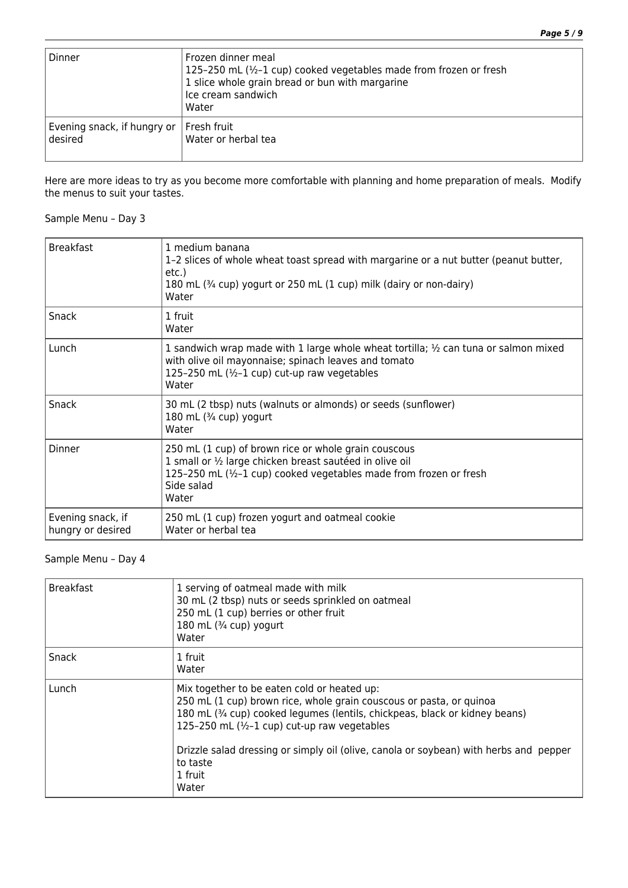| Dinner                                               | Frozen dinner meal<br>125-250 mL (1/2-1 cup) cooked vegetables made from frozen or fresh<br>1 slice whole grain bread or bun with margarine<br>Ice cream sandwich<br>Water |
|------------------------------------------------------|----------------------------------------------------------------------------------------------------------------------------------------------------------------------------|
| Evening snack, if hungry or   Fresh fruit<br>desired | Water or herbal tea                                                                                                                                                        |

Here are more ideas to try as you become more comfortable with planning and home preparation of meals. Modify the menus to suit your tastes.

#### Sample Menu – Day 3

| <b>Breakfast</b>                       | 1 medium banana<br>1-2 slices of whole wheat toast spread with margarine or a nut butter (peanut butter,<br>etc.)<br>180 mL (3/4 cup) yogurt or 250 mL (1 cup) milk (dairy or non-dairy)<br>Water               |
|----------------------------------------|-----------------------------------------------------------------------------------------------------------------------------------------------------------------------------------------------------------------|
| Snack                                  | 1 fruit<br>Water                                                                                                                                                                                                |
| Lunch                                  | 1 sandwich wrap made with 1 large whole wheat tortilla; $\frac{1}{2}$ can tuna or salmon mixed<br>with olive oil mayonnaise; spinach leaves and tomato<br>125-250 mL (1/2-1 cup) cut-up raw vegetables<br>Water |
| Snack                                  | 30 mL (2 tbsp) nuts (walnuts or almonds) or seeds (sunflower)<br>180 mL (3/4 cup) yogurt<br>Water                                                                                                               |
| Dinner                                 | 250 mL (1 cup) of brown rice or whole grain couscous<br>1 small or 1/2 large chicken breast sautéed in olive oil<br>125-250 mL (1/2-1 cup) cooked vegetables made from frozen or fresh<br>Side salad<br>Water   |
| Evening snack, if<br>hungry or desired | 250 mL (1 cup) frozen yogurt and oatmeal cookie<br>Water or herbal tea                                                                                                                                          |

#### Sample Menu – Day 4

| <b>Breakfast</b> | 1 serving of oatmeal made with milk<br>30 mL (2 tbsp) nuts or seeds sprinkled on oatmeal<br>250 mL (1 cup) berries or other fruit<br>180 mL (3/4 cup) yogurt<br>Water                                                                                                                                                                                                      |
|------------------|----------------------------------------------------------------------------------------------------------------------------------------------------------------------------------------------------------------------------------------------------------------------------------------------------------------------------------------------------------------------------|
| Snack            | 1 fruit<br>Water                                                                                                                                                                                                                                                                                                                                                           |
| Lunch            | Mix together to be eaten cold or heated up:<br>250 mL (1 cup) brown rice, whole grain couscous or pasta, or quinoa<br>180 mL (3/4 cup) cooked legumes (lentils, chickpeas, black or kidney beans)<br>125-250 mL (1/2-1 cup) cut-up raw vegetables<br>Drizzle salad dressing or simply oil (olive, canola or soybean) with herbs and pepper<br>to taste<br>1 fruit<br>Water |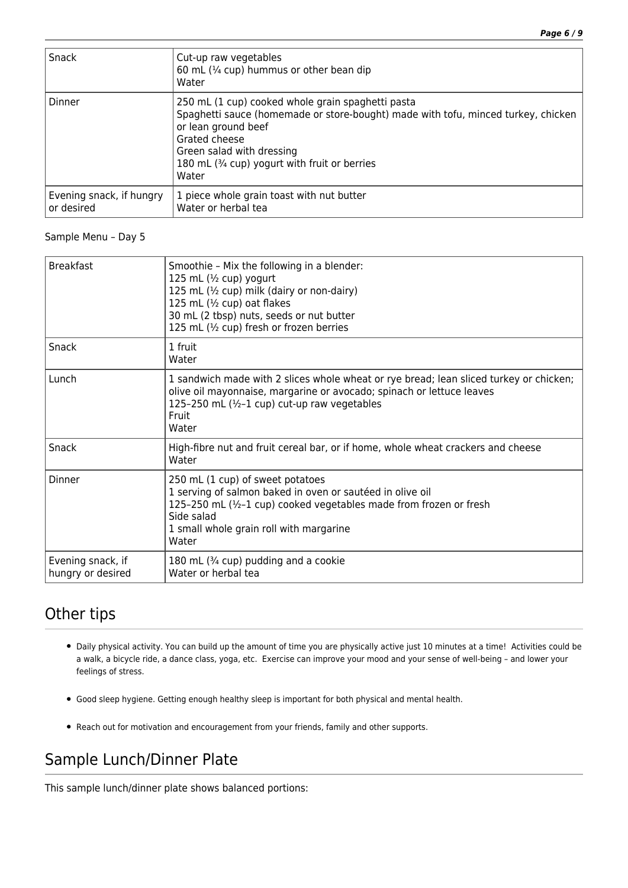| Snack                                  | Cut-up raw vegetables<br>60 mL (1/4 cup) hummus or other bean dip<br>Water                                                                                                                                                                                            |
|----------------------------------------|-----------------------------------------------------------------------------------------------------------------------------------------------------------------------------------------------------------------------------------------------------------------------|
| <b>Dinner</b>                          | 250 mL (1 cup) cooked whole grain spaghetti pasta<br>Spaghetti sauce (homemade or store-bought) made with tofu, minced turkey, chicken<br>or lean ground beef<br>Grated cheese<br>Green salad with dressing<br>180 mL (3/4 cup) yogurt with fruit or berries<br>Water |
| Evening snack, if hungry<br>or desired | 1 piece whole grain toast with nut butter<br>Water or herbal tea                                                                                                                                                                                                      |

#### Sample Menu – Day 5

| <b>Breakfast</b>                       | Smoothie - Mix the following in a blender:<br>125 mL (1/2 cup) yogurt<br>125 mL (1/2 cup) milk (dairy or non-dairy)<br>125 mL (1/2 cup) oat flakes<br>30 mL (2 tbsp) nuts, seeds or nut butter<br>125 mL (1/2 cup) fresh or frozen berries |
|----------------------------------------|--------------------------------------------------------------------------------------------------------------------------------------------------------------------------------------------------------------------------------------------|
| Snack                                  | 1 fruit<br>Water                                                                                                                                                                                                                           |
| Lunch                                  | 1 sandwich made with 2 slices whole wheat or rye bread; lean sliced turkey or chicken;<br>olive oil mayonnaise, margarine or avocado; spinach or lettuce leaves<br>125-250 mL (1/2-1 cup) cut-up raw vegetables<br>Fruit<br>Water          |
| Snack                                  | High-fibre nut and fruit cereal bar, or if home, whole wheat crackers and cheese<br>Water                                                                                                                                                  |
| Dinner                                 | 250 mL (1 cup) of sweet potatoes<br>1 serving of salmon baked in oven or sautéed in olive oil<br>125-250 mL (1/2-1 cup) cooked vegetables made from frozen or fresh<br>Side salad<br>1 small whole grain roll with margarine<br>Water      |
| Evening snack, if<br>hungry or desired | 180 mL (3/4 cup) pudding and a cookie<br>Water or herbal tea                                                                                                                                                                               |

### Other tips

- Daily physical activity. You can build up the amount of time you are physically active just 10 minutes at a time! Activities could be a walk, a bicycle ride, a dance class, yoga, etc. Exercise can improve your mood and your sense of well-being – and lower your feelings of stress.
- Good sleep hygiene. Getting enough healthy sleep is important for both physical and mental health.
- Reach out for motivation and encouragement from your friends, family and other supports.

# Sample Lunch/Dinner Plate

This sample lunch/dinner plate shows balanced portions: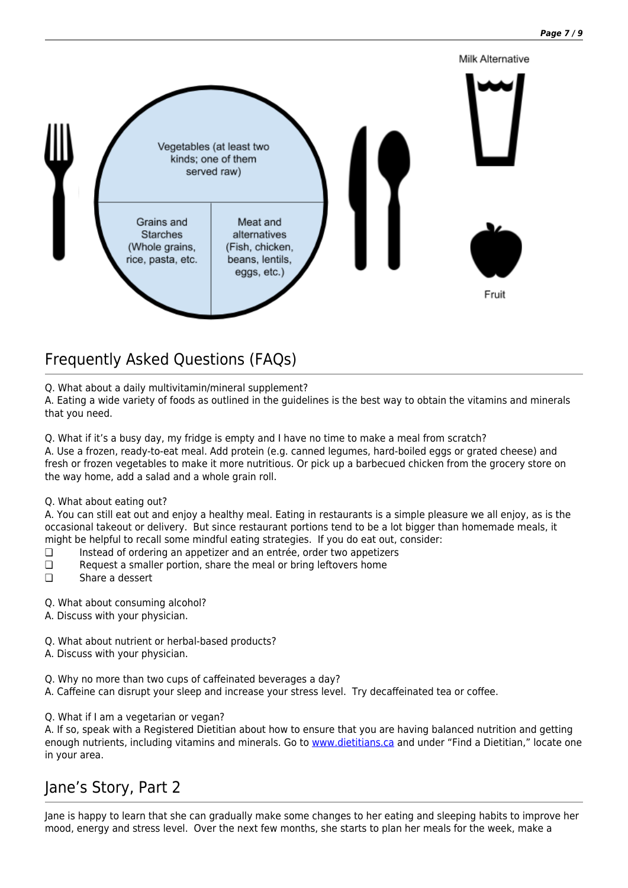

# Frequently Asked Questions (FAQs)

Q. What about a daily multivitamin/mineral supplement?

A. Eating a wide variety of foods as outlined in the guidelines is the best way to obtain the vitamins and minerals that you need.

Q. What if it's a busy day, my fridge is empty and I have no time to make a meal from scratch?

A. Use a frozen, ready-to-eat meal. Add protein (e.g. canned legumes, hard-boiled eggs or grated cheese) and fresh or frozen vegetables to make it more nutritious. Or pick up a barbecued chicken from the grocery store on the way home, add a salad and a whole grain roll.

Q. What about eating out?

A. You can still eat out and enjoy a healthy meal. Eating in restaurants is a simple pleasure we all enjoy, as is the occasional takeout or delivery. But since restaurant portions tend to be a lot bigger than homemade meals, it might be helpful to recall some mindful eating strategies. If you do eat out, consider:

- ❏ Instead of ordering an appetizer and an entrée, order two appetizers
- ❏ Request a smaller portion, share the meal or bring leftovers home
- ❏ Share a dessert
- Q. What about consuming alcohol?
- A. Discuss with your physician.
- Q. What about nutrient or herbal-based products?
- A. Discuss with your physician.
- Q. Why no more than two cups of caffeinated beverages a day?
- A. Caffeine can disrupt your sleep and increase your stress level. Try decaffeinated tea or coffee.
- Q. What if I am a vegetarian or vegan?

A. If so, speak with a Registered Dietitian about how to ensure that you are having balanced nutrition and getting enough nutrients, including vitamins and minerals. Go to [www.dietitians.ca](http://www.dietitians.ca/) and under "Find a Dietitian," locate one in your area.

### Jane's Story, Part 2

Jane is happy to learn that she can gradually make some changes to her eating and sleeping habits to improve her mood, energy and stress level. Over the next few months, she starts to plan her meals for the week, make a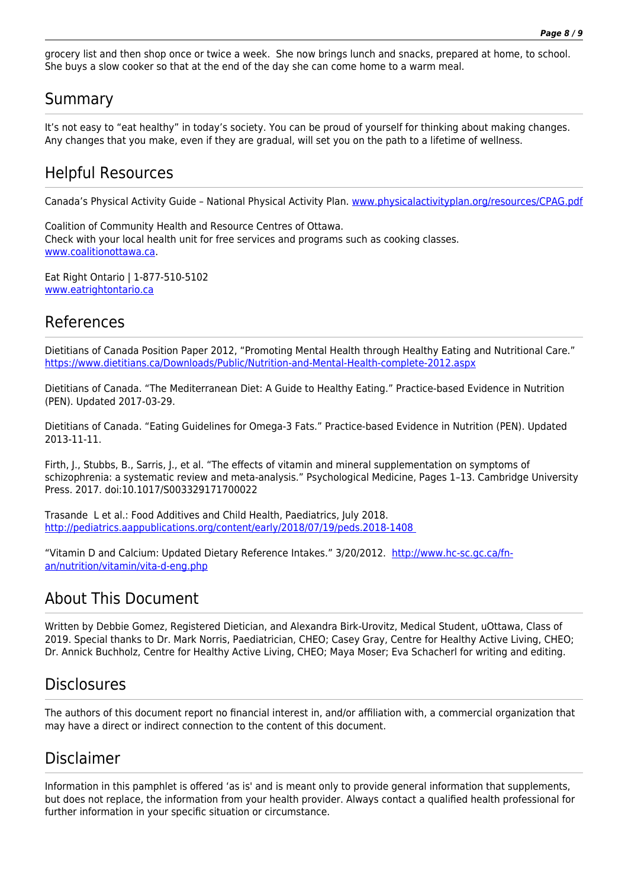grocery list and then shop once or twice a week. She now brings lunch and snacks, prepared at home, to school. She buys a slow cooker so that at the end of the day she can come home to a warm meal.

### Summary

It's not easy to "eat healthy" in today's society. You can be proud of yourself for thinking about making changes. Any changes that you make, even if they are gradual, will set you on the path to a lifetime of wellness.

### Helpful Resources

Canada's Physical Activity Guide - National Physical Activity Plan. [www.physicalactivityplan.org/resources/CPAG.pdf](http://www.physicalactivityplan.org/resources/CPAG.pdf)

Coalition of Community Health and Resource Centres of Ottawa. Check with your local health unit for free services and programs such as cooking classes. [www.coalitionottawa.ca](http://www.coalitionottawa.ca/).

Eat Right Ontario | 1-877-510-5102 [www.eatrightontario.ca](http://www.eatrightontario.ca/) 

### References

Dietitians of Canada Position Paper 2012, "Promoting Mental Health through Healthy Eating and Nutritional Care." <https://www.dietitians.ca/Downloads/Public/Nutrition-and-Mental-Health-complete-2012.aspx>

Dietitians of Canada. "The Mediterranean Diet: A Guide to Healthy Eating." Practice-based Evidence in Nutrition (PEN). Updated 2017-03-29.

Dietitians of Canada. "Eating Guidelines for Omega-3 Fats." Practice-based Evidence in Nutrition (PEN). Updated 2013-11-11.

Firth, J., Stubbs, B., Sarris, J., et al. "The effects of vitamin and mineral supplementation on symptoms of schizophrenia: a systematic review and meta-analysis." Psychological Medicine, Pages 1–13. Cambridge University Press. 2017. doi:10.1017/S003329171700022

Trasande L et al.: Food Additives and Child Health, Paediatrics, July 2018. <http://pediatrics.aappublications.org/content/early/2018/07/19/peds.2018-1408>

"Vitamin D and Calcium: Updated Dietary Reference Intakes." 3/20/2012. [http://www.hc-sc.gc.ca/fn](http://www.hc-sc.gc.ca/fn-an/nutrition/vitamin/vita-d-eng.php)[an/nutrition/vitamin/vita-d-eng.php](http://www.hc-sc.gc.ca/fn-an/nutrition/vitamin/vita-d-eng.php)

### About This Document

Written by Debbie Gomez, Registered Dietician, and Alexandra Birk-Urovitz, Medical Student, uOttawa, Class of 2019. Special thanks to Dr. Mark Norris, Paediatrician, CHEO; Casey Gray, Centre for Healthy Active Living, CHEO; Dr. Annick Buchholz, Centre for Healthy Active Living, CHEO; Maya Moser; Eva Schacherl for writing and editing.

### **Disclosures**

The authors of this document report no financial interest in, and/or affiliation with, a commercial organization that may have a direct or indirect connection to the content of this document.

# Disclaimer

Information in this pamphlet is offered 'as is' and is meant only to provide general information that supplements, but does not replace, the information from your health provider. Always contact a qualified health professional for further information in your specific situation or circumstance.